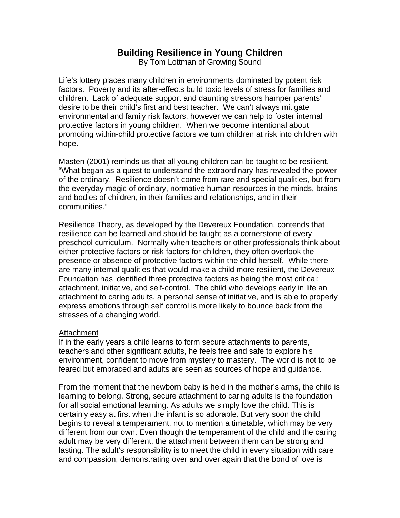# **Building Resilience in Young Children**

By Tom Lottman of Growing Sound

Life's lottery places many children in environments dominated by potent risk factors. Poverty and its after-effects build toxic levels of stress for families and children. Lack of adequate support and daunting stressors hamper parents' desire to be their child's first and best teacher. We can't always mitigate environmental and family risk factors, however we can help to foster internal protective factors in young children. When we become intentional about promoting within-child protective factors we turn children at risk into children with hope.

Masten (2001) reminds us that all young children can be taught to be resilient. "What began as a quest to understand the extraordinary has revealed the power of the ordinary. Resilience doesn't come from rare and special qualities, but from the everyday magic of ordinary, normative human resources in the minds, brains and bodies of children, in their families and relationships, and in their communities."

Resilience Theory, as developed by the Devereux Foundation, contends that resilience can be learned and should be taught as a cornerstone of every preschool curriculum. Normally when teachers or other professionals think about either protective factors or risk factors for children, they often overlook the presence or absence of protective factors within the child herself. While there are many internal qualities that would make a child more resilient, the Devereux Foundation has identified three protective factors as being the most critical: attachment, initiative, and self-control. The child who develops early in life an attachment to caring adults, a personal sense of initiative, and is able to properly express emotions through self control is more likely to bounce back from the stresses of a changing world.

#### Attachment

If in the early years a child learns to form secure attachments to parents, teachers and other significant adults, he feels free and safe to explore his environment, confident to move from mystery to mastery. The world is not to be feared but embraced and adults are seen as sources of hope and guidance.

From the moment that the newborn baby is held in the mother's arms, the child is learning to belong. Strong, secure attachment to caring adults is the foundation for all social emotional learning. As adults we simply love the child. This is certainly easy at first when the infant is so adorable. But very soon the child begins to reveal a temperament, not to mention a timetable, which may be very different from our own. Even though the temperament of the child and the caring adult may be very different, the attachment between them can be strong and lasting. The adult's responsibility is to meet the child in every situation with care and compassion, demonstrating over and over again that the bond of love is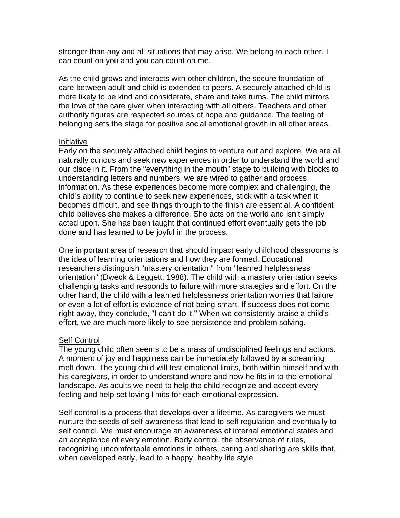stronger than any and all situations that may arise. We belong to each other. I can count on you and you can count on me.

As the child grows and interacts with other children, the secure foundation of care between adult and child is extended to peers. A securely attached child is more likely to be kind and considerate, share and take turns. The child mirrors the love of the care giver when interacting with all others. Teachers and other authority figures are respected sources of hope and guidance. The feeling of belonging sets the stage for positive social emotional growth in all other areas.

#### Initiative

Early on the securely attached child begins to venture out and explore. We are all naturally curious and seek new experiences in order to understand the world and our place in it. From the "everything in the mouth" stage to building with blocks to understanding letters and numbers, we are wired to gather and process information. As these experiences become more complex and challenging, the child's ability to continue to seek new experiences, stick with a task when it becomes difficult, and see things through to the finish are essential. A confident child believes she makes a difference. She acts on the world and isn't simply acted upon. She has been taught that continued effort eventually gets the job done and has learned to be joyful in the process.

One important area of research that should impact early childhood classrooms is the idea of learning orientations and how they are formed. Educational researchers distinguish "mastery orientation" from "learned helplessness orientation" (Dweck & Leggett, 1988). The child with a mastery orientation seeks challenging tasks and responds to failure with more strategies and effort. On the other hand, the child with a learned helplessness orientation worries that failure or even a lot of effort is evidence of not being smart. If success does not come right away, they conclude, "I can't do it." When we consistently praise a child's effort, we are much more likely to see persistence and problem solving.

### **Self Control**

The young child often seems to be a mass of undisciplined feelings and actions. A moment of joy and happiness can be immediately followed by a screaming melt down. The young child will test emotional limits, both within himself and with his caregivers, in order to understand where and how he fits in to the emotional landscape. As adults we need to help the child recognize and accept every feeling and help set loving limits for each emotional expression.

Self control is a process that develops over a lifetime. As caregivers we must nurture the seeds of self awareness that lead to self regulation and eventually to self control. We must encourage an awareness of internal emotional states and an acceptance of every emotion. Body control, the observance of rules, recognizing uncomfortable emotions in others, caring and sharing are skills that, when developed early, lead to a happy, healthy life style.